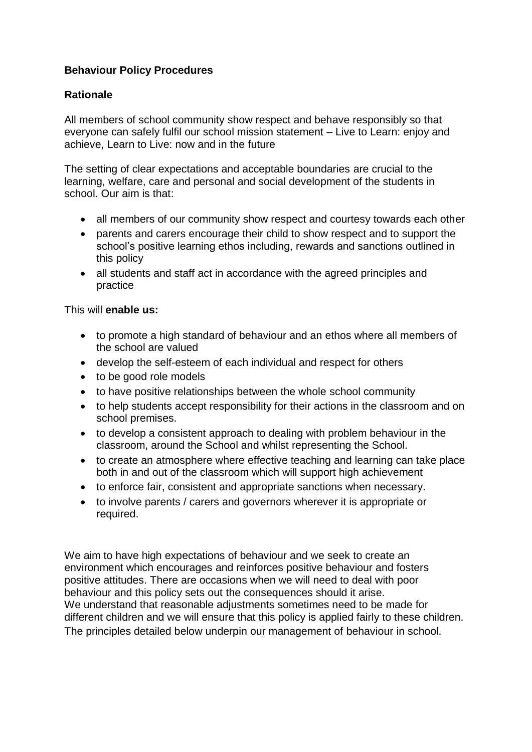# **Behaviour Policy Procedures**

## **Rationale**

All members of school community show respect and behave responsibly so that everyone can safely fulfil our school mission statement – Live to Learn: enjoy and achieve, Learn to Live: now and in the future

The setting of clear expectations and acceptable boundaries are crucial to the learning, welfare, care and personal and social development of the students in school. Our aim is that:

- all members of our community show respect and courtesy towards each other
- parents and carers encourage their child to show respect and to support the school's positive learning ethos including, rewards and sanctions outlined in this policy
- all students and staff act in accordance with the agreed principles and practice

#### This will **enable us:**

- to promote a high standard of behaviour and an ethos where all members of the school are valued
- develop the self-esteem of each individual and respect for others
- to be good role models
- to have positive relationships between the whole school community
- to help students accept responsibility for their actions in the classroom and on school premises.
- to develop a consistent approach to dealing with problem behaviour in the classroom, around the School and whilst representing the School.
- to create an atmosphere where effective teaching and learning can take place both in and out of the classroom which will support high achievement
- to enforce fair, consistent and appropriate sanctions when necessary.
- to involve parents / carers and governors wherever it is appropriate or required.

We aim to have high expectations of behaviour and we seek to create an environment which encourages and reinforces positive behaviour and fosters positive attitudes. There are occasions when we will need to deal with poor behaviour and this policy sets out the consequences should it arise. We understand that reasonable adjustments sometimes need to be made for different children and we will ensure that this policy is applied fairly to these children. The principles detailed below underpin our management of behaviour in school.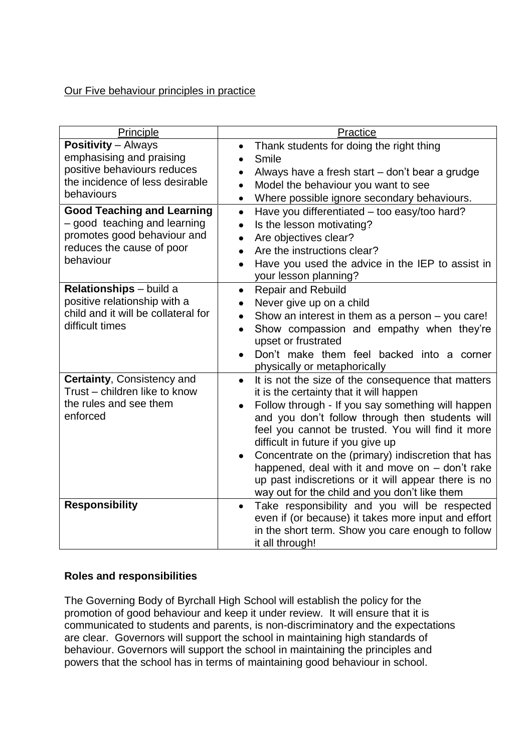## Our Five behaviour principles in practice

| Principle                                                   | Practice                                                                                                   |  |  |
|-------------------------------------------------------------|------------------------------------------------------------------------------------------------------------|--|--|
| <b>Positivity - Always</b>                                  | Thank students for doing the right thing<br>$\bullet$                                                      |  |  |
| emphasising and praising                                    | Smile                                                                                                      |  |  |
| positive behaviours reduces                                 | Always have a fresh start – don't bear a grudge<br>$\bullet$                                               |  |  |
| the incidence of less desirable<br>behaviours               | Model the behaviour you want to see<br>$\bullet$                                                           |  |  |
|                                                             | Where possible ignore secondary behaviours.<br>$\bullet$                                                   |  |  |
| <b>Good Teaching and Learning</b>                           | Have you differentiated - too easy/too hard?<br>$\bullet$                                                  |  |  |
| - good teaching and learning                                | Is the lesson motivating?<br>$\bullet$                                                                     |  |  |
| promotes good behaviour and                                 | Are objectives clear?<br>$\bullet$                                                                         |  |  |
| reduces the cause of poor<br>behaviour                      | Are the instructions clear?<br>$\bullet$                                                                   |  |  |
|                                                             | Have you used the advice in the IEP to assist in<br>$\bullet$<br>your lesson planning?                     |  |  |
| Relationships - build a                                     | <b>Repair and Rebuild</b><br>$\bullet$                                                                     |  |  |
| positive relationship with a                                | Never give up on a child<br>$\bullet$                                                                      |  |  |
| child and it will be collateral for                         | Show an interest in them as a person - you care!<br>$\bullet$                                              |  |  |
| difficult times                                             | Show compassion and empathy when they're<br>$\bullet$<br>upset or frustrated                               |  |  |
|                                                             | Don't make them feel backed into a corner<br>$\bullet$<br>physically or metaphorically                     |  |  |
| Certainty, Consistency and<br>Trust – children like to know | It is not the size of the consequence that matters<br>$\bullet$<br>it is the certainty that it will happen |  |  |
| the rules and see them                                      | Follow through - If you say something will happen<br>$\bullet$                                             |  |  |
| enforced                                                    | and you don't follow through then students will                                                            |  |  |
|                                                             | feel you cannot be trusted. You will find it more                                                          |  |  |
|                                                             | difficult in future if you give up                                                                         |  |  |
|                                                             | Concentrate on the (primary) indiscretion that has                                                         |  |  |
|                                                             | happened, deal with it and move on $-$ don't rake                                                          |  |  |
|                                                             | up past indiscretions or it will appear there is no                                                        |  |  |
|                                                             | way out for the child and you don't like them                                                              |  |  |
| <b>Responsibility</b>                                       | Take responsibility and you will be respected<br>$\bullet$                                                 |  |  |
|                                                             | even if (or because) it takes more input and effort<br>in the short term. Show you care enough to follow   |  |  |
|                                                             | it all through!                                                                                            |  |  |

## **Roles and responsibilities**

The Governing Body of Byrchall High School will establish the policy for the promotion of good behaviour and keep it under review. It will ensure that it is communicated to students and parents, is non-discriminatory and the expectations are clear. Governors will support the school in maintaining high standards of behaviour. Governors will support the school in maintaining the principles and powers that the school has in terms of maintaining good behaviour in school.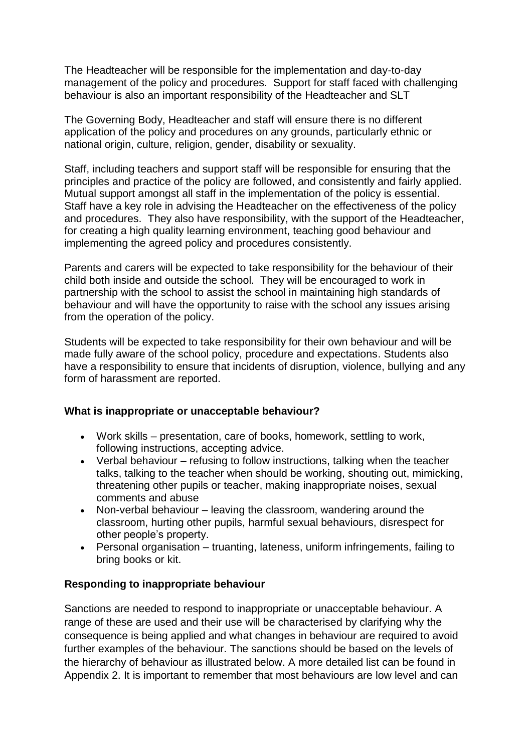The Headteacher will be responsible for the implementation and day-to-day management of the policy and procedures. Support for staff faced with challenging behaviour is also an important responsibility of the Headteacher and SLT

The Governing Body, Headteacher and staff will ensure there is no different application of the policy and procedures on any grounds, particularly ethnic or national origin, culture, religion, gender, disability or sexuality.

Staff, including teachers and support staff will be responsible for ensuring that the principles and practice of the policy are followed, and consistently and fairly applied. Mutual support amongst all staff in the implementation of the policy is essential. Staff have a key role in advising the Headteacher on the effectiveness of the policy and procedures. They also have responsibility, with the support of the Headteacher, for creating a high quality learning environment, teaching good behaviour and implementing the agreed policy and procedures consistently.

Parents and carers will be expected to take responsibility for the behaviour of their child both inside and outside the school. They will be encouraged to work in partnership with the school to assist the school in maintaining high standards of behaviour and will have the opportunity to raise with the school any issues arising from the operation of the policy.

Students will be expected to take responsibility for their own behaviour and will be made fully aware of the school policy, procedure and expectations. Students also have a responsibility to ensure that incidents of disruption, violence, bullying and any form of harassment are reported.

#### **What is inappropriate or unacceptable behaviour?**

- Work skills presentation, care of books, homework, settling to work, following instructions, accepting advice.
- Verbal behaviour refusing to follow instructions, talking when the teacher talks, talking to the teacher when should be working, shouting out, mimicking, threatening other pupils or teacher, making inappropriate noises, sexual comments and abuse
- Non-verbal behaviour leaving the classroom, wandering around the classroom, hurting other pupils, harmful sexual behaviours, disrespect for other people's property.
- Personal organisation truanting, lateness, uniform infringements, failing to bring books or kit.

## **Responding to inappropriate behaviour**

Sanctions are needed to respond to inappropriate or unacceptable behaviour. A range of these are used and their use will be characterised by clarifying why the consequence is being applied and what changes in behaviour are required to avoid further examples of the behaviour. The sanctions should be based on the levels of the hierarchy of behaviour as illustrated below. A more detailed list can be found in Appendix 2. It is important to remember that most behaviours are low level and can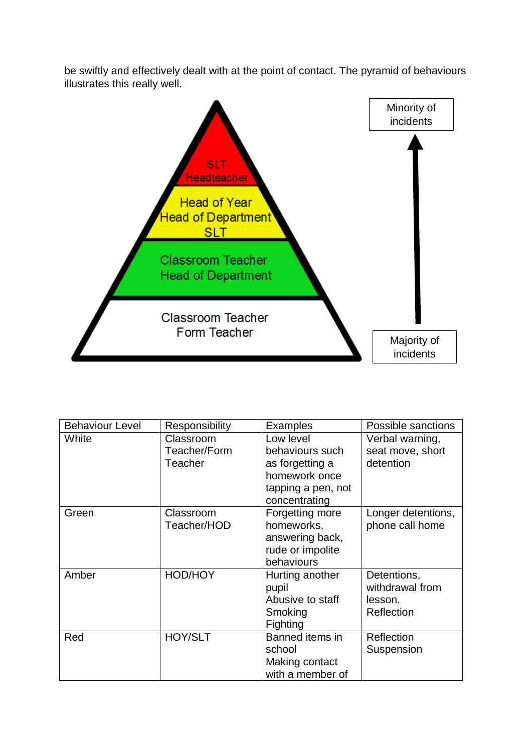be swiftly and effectively dealt with at the point of contact. The pyramid of behaviours illustrates this really well.



| <b>Behaviour Level</b> | Responsibility | <b>Examples</b>    | Possible sanctions |
|------------------------|----------------|--------------------|--------------------|
| White                  | Classroom      | Low level          | Verbal warning,    |
|                        | Teacher/Form   | behaviours such    | seat move, short   |
|                        | Teacher        | as forgetting a    | detention          |
|                        |                | homework once      |                    |
|                        |                | tapping a pen, not |                    |
|                        |                | concentrating      |                    |
| Green                  | Classroom      | Forgetting more    | Longer detentions, |
|                        | Teacher/HOD    | homeworks,         | phone call home    |
|                        |                | answering back,    |                    |
|                        |                | rude or impolite   |                    |
|                        |                | behaviours         |                    |
| Amber                  | <b>HOD/HOY</b> | Hurting another    | Detentions,        |
|                        |                | pupil              | withdrawal from    |
|                        |                | Abusive to staff   | lesson.            |
|                        |                | Smoking            | Reflection         |
|                        |                | Fighting           |                    |
| Red                    | <b>HOY/SLT</b> | Banned items in    | Reflection         |
|                        |                | school             | Suspension         |
|                        |                | Making contact     |                    |
|                        |                | with a member of   |                    |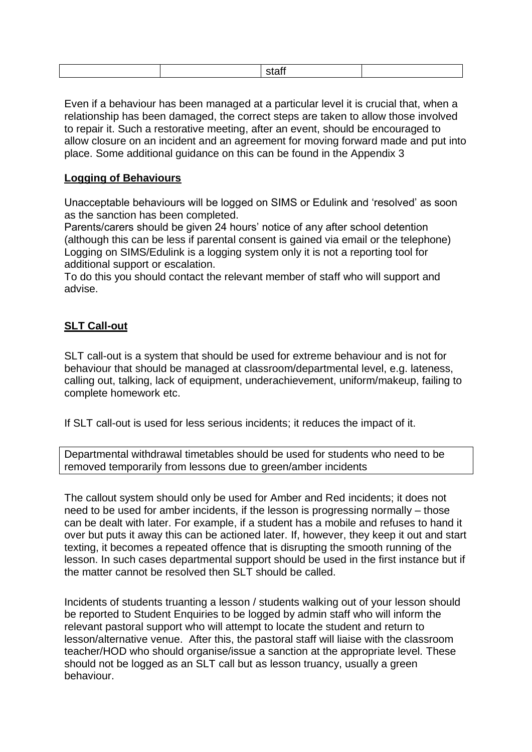|--|

Even if a behaviour has been managed at a particular level it is crucial that, when a relationship has been damaged, the correct steps are taken to allow those involved to repair it. Such a restorative meeting, after an event, should be encouraged to allow closure on an incident and an agreement for moving forward made and put into place. Some additional guidance on this can be found in the Appendix 3

## **Logging of Behaviours**

Unacceptable behaviours will be logged on SIMS or Edulink and 'resolved' as soon as the sanction has been completed.

Parents/carers should be given 24 hours' notice of any after school detention (although this can be less if parental consent is gained via email or the telephone) Logging on SIMS/Edulink is a logging system only it is not a reporting tool for additional support or escalation.

To do this you should contact the relevant member of staff who will support and advise.

## **SLT Call-out**

SLT call-out is a system that should be used for extreme behaviour and is not for behaviour that should be managed at classroom/departmental level, e.g. lateness, calling out, talking, lack of equipment, underachievement, uniform/makeup, failing to complete homework etc.

If SLT call-out is used for less serious incidents; it reduces the impact of it.

Departmental withdrawal timetables should be used for students who need to be removed temporarily from lessons due to green/amber incidents

The callout system should only be used for Amber and Red incidents; it does not need to be used for amber incidents, if the lesson is progressing normally – those can be dealt with later. For example, if a student has a mobile and refuses to hand it over but puts it away this can be actioned later. If, however, they keep it out and start texting, it becomes a repeated offence that is disrupting the smooth running of the lesson. In such cases departmental support should be used in the first instance but if the matter cannot be resolved then SLT should be called.

Incidents of students truanting a lesson / students walking out of your lesson should be reported to Student Enquiries to be logged by admin staff who will inform the relevant pastoral support who will attempt to locate the student and return to lesson/alternative venue. After this, the pastoral staff will liaise with the classroom teacher/HOD who should organise/issue a sanction at the appropriate level. These should not be logged as an SLT call but as lesson truancy, usually a green behaviour.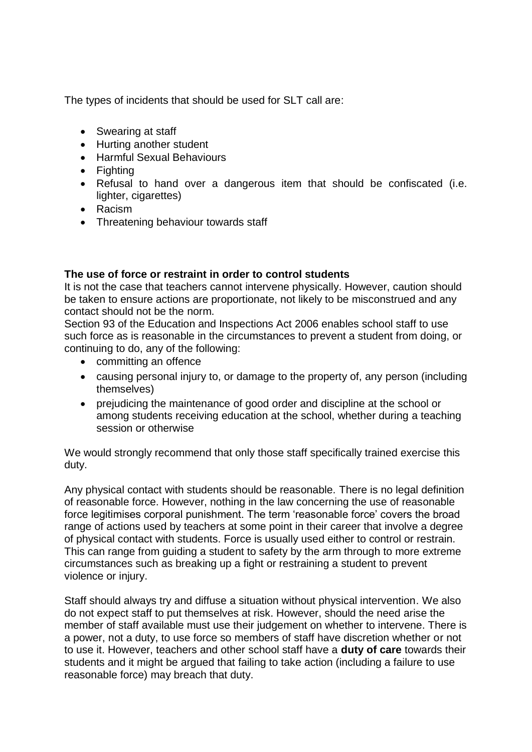The types of incidents that should be used for SLT call are:

- Swearing at staff
- Hurting another student
- Harmful Sexual Behaviours
- Fighting
- Refusal to hand over a dangerous item that should be confiscated (i.e. lighter, cigarettes)
- Racism
- Threatening behaviour towards staff

## **The use of force or restraint in order to control students**

It is not the case that teachers cannot intervene physically. However, caution should be taken to ensure actions are proportionate, not likely to be misconstrued and any contact should not be the norm.

Section 93 of the Education and Inspections Act 2006 enables school staff to use such force as is reasonable in the circumstances to prevent a student from doing, or continuing to do, any of the following:

- committing an offence
- causing personal injury to, or damage to the property of, any person (including themselves)
- prejudicing the maintenance of good order and discipline at the school or among students receiving education at the school, whether during a teaching session or otherwise

We would strongly recommend that only those staff specifically trained exercise this duty.

Any physical contact with students should be reasonable. There is no legal definition of reasonable force. However, nothing in the law concerning the use of reasonable force legitimises corporal punishment. The term 'reasonable force' covers the broad range of actions used by teachers at some point in their career that involve a degree of physical contact with students. Force is usually used either to control or restrain. This can range from guiding a student to safety by the arm through to more extreme circumstances such as breaking up a fight or restraining a student to prevent violence or injury.

Staff should always try and diffuse a situation without physical intervention. We also do not expect staff to put themselves at risk. However, should the need arise the member of staff available must use their judgement on whether to intervene. There is a power, not a duty, to use force so members of staff have discretion whether or not to use it. However, teachers and other school staff have a **duty of care** towards their students and it might be argued that failing to take action (including a failure to use reasonable force) may breach that duty.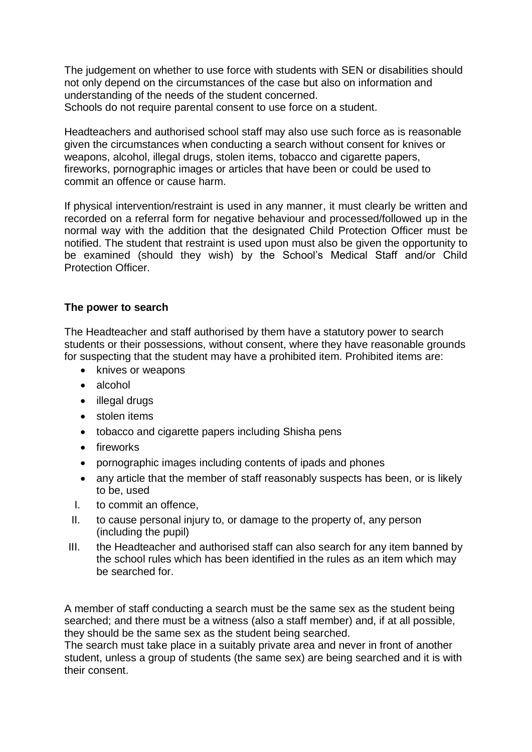The judgement on whether to use force with students with SEN or disabilities should not only depend on the circumstances of the case but also on information and understanding of the needs of the student concerned.

Schools do not require parental consent to use force on a student.

Headteachers and authorised school staff may also use such force as is reasonable given the circumstances when conducting a search without consent for knives or weapons, alcohol, illegal drugs, stolen items, tobacco and cigarette papers, fireworks, pornographic images or articles that have been or could be used to commit an offence or cause harm.

If physical intervention/restraint is used in any manner, it must clearly be written and recorded on a referral form for negative behaviour and processed/followed up in the normal way with the addition that the designated Child Protection Officer must be notified. The student that restraint is used upon must also be given the opportunity to be examined (should they wish) by the School's Medical Staff and/or Child Protection Officer.

## **The power to search**

The Headteacher and staff authorised by them have a statutory power to search students or their possessions, without consent, where they have reasonable grounds for suspecting that the student may have a prohibited item. Prohibited items are:

- knives or weapons
- alcohol
- illegal drugs
- stolen items
- tobacco and cigarette papers including Shisha pens
- fireworks
- pornographic images including contents of ipads and phones
- any article that the member of staff reasonably suspects has been, or is likely to be, used
- I. to commit an offence,
- II. to cause personal injury to, or damage to the property of, any person (including the pupil)
- III. the Headteacher and authorised staff can also search for any item banned by the school rules which has been identified in the rules as an item which may be searched for.

A member of staff conducting a search must be the same sex as the student being searched; and there must be a witness (also a staff member) and, if at all possible, they should be the same sex as the student being searched.

The search must take place in a suitably private area and never in front of another student, unless a group of students (the same sex) are being searched and it is with their consent.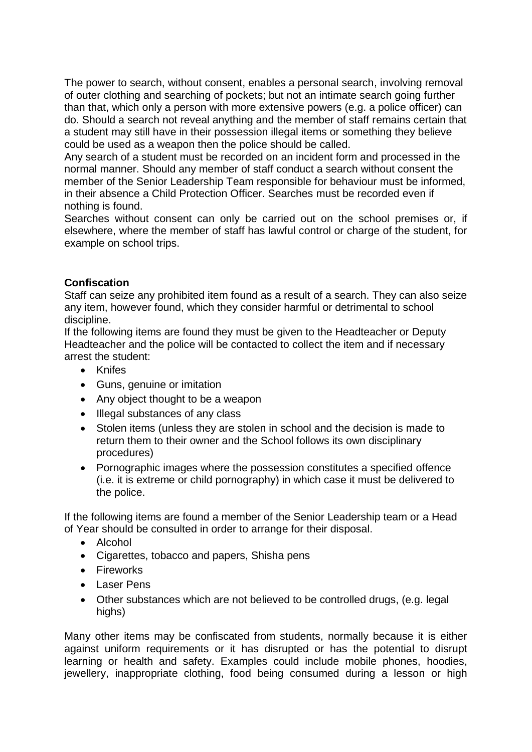The power to search, without consent, enables a personal search, involving removal of outer clothing and searching of pockets; but not an intimate search going further than that, which only a person with more extensive powers (e.g. a police officer) can do. Should a search not reveal anything and the member of staff remains certain that a student may still have in their possession illegal items or something they believe could be used as a weapon then the police should be called.

Any search of a student must be recorded on an incident form and processed in the normal manner. Should any member of staff conduct a search without consent the member of the Senior Leadership Team responsible for behaviour must be informed, in their absence a Child Protection Officer. Searches must be recorded even if nothing is found.

Searches without consent can only be carried out on the school premises or, if elsewhere, where the member of staff has lawful control or charge of the student, for example on school trips.

## **Confiscation**

Staff can seize any prohibited item found as a result of a search. They can also seize any item, however found, which they consider harmful or detrimental to school discipline.

If the following items are found they must be given to the Headteacher or Deputy Headteacher and the police will be contacted to collect the item and if necessary arrest the student:

- Knifes
- Guns, genuine or imitation
- Any object thought to be a weapon
- Illegal substances of any class
- Stolen items (unless they are stolen in school and the decision is made to return them to their owner and the School follows its own disciplinary procedures)
- Pornographic images where the possession constitutes a specified offence (i.e. it is extreme or child pornography) in which case it must be delivered to the police.

If the following items are found a member of the Senior Leadership team or a Head of Year should be consulted in order to arrange for their disposal.

- Alcohol
- Cigarettes, tobacco and papers, Shisha pens
- Fireworks
- Laser Pens
- Other substances which are not believed to be controlled drugs, (e.g. legal highs)

Many other items may be confiscated from students, normally because it is either against uniform requirements or it has disrupted or has the potential to disrupt learning or health and safety. Examples could include mobile phones, hoodies, jewellery, inappropriate clothing, food being consumed during a lesson or high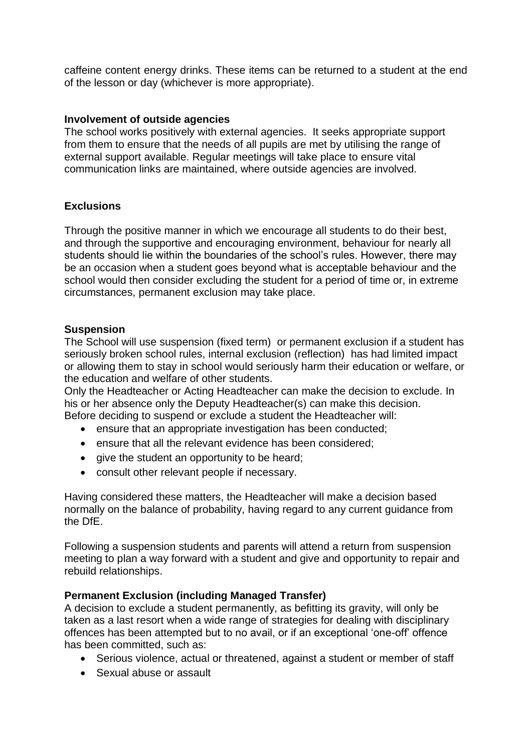caffeine content energy drinks. These items can be returned to a student at the end of the lesson or day (whichever is more appropriate).

#### **Involvement of outside agencies**

The school works positively with external agencies. It seeks appropriate support from them to ensure that the needs of all pupils are met by utilising the range of external support available. Regular meetings will take place to ensure vital communication links are maintained, where outside agencies are involved.

#### **Exclusions**

Through the positive manner in which we encourage all students to do their best, and through the supportive and encouraging environment, behaviour for nearly all students should lie within the boundaries of the school's rules. However, there may be an occasion when a student goes beyond what is acceptable behaviour and the school would then consider excluding the student for a period of time or, in extreme circumstances, permanent exclusion may take place.

#### **Suspension**

The School will use suspension (fixed term) or permanent exclusion if a student has seriously broken school rules, internal exclusion (reflection) has had limited impact or allowing them to stay in school would seriously harm their education or welfare, or the education and welfare of other students.

Only the Headteacher or Acting Headteacher can make the decision to exclude. In his or her absence only the Deputy Headteacher(s) can make this decision. Before deciding to suspend or exclude a student the Headteacher will:

- ensure that an appropriate investigation has been conducted;
- ensure that all the relevant evidence has been considered;
- give the student an opportunity to be heard;
- consult other relevant people if necessary.

Having considered these matters, the Headteacher will make a decision based normally on the balance of probability, having regard to any current guidance from the DfE.

Following a suspension students and parents will attend a return from suspension meeting to plan a way forward with a student and give and opportunity to repair and rebuild relationships.

#### **Permanent Exclusion (including Managed Transfer)**

A decision to exclude a student permanently, as befitting its gravity, will only be taken as a last resort when a wide range of strategies for dealing with disciplinary offences has been attempted but to no avail, or if an exceptional 'one-off' offence has been committed, such as:

- Serious violence, actual or threatened, against a student or member of staff
- Sexual abuse or assault